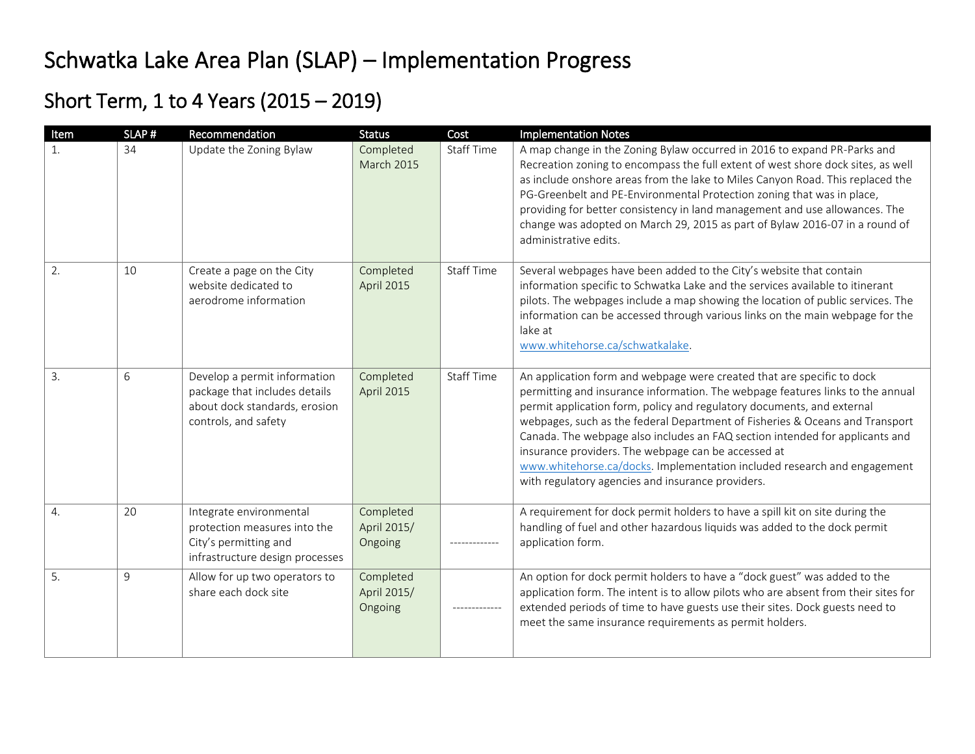## Schwatka Lake Area Plan (SLAP) – Implementation Progress

## Short Term, 1 to 4 Years (2015 – 2019)

| Item             | SLAP# | Recommendation                                                                                                         | <b>Status</b>                       | Cost              | <b>Implementation Notes</b>                                                                                                                                                                                                                                                                                                                                                                                                                                                                                                                                                                |
|------------------|-------|------------------------------------------------------------------------------------------------------------------------|-------------------------------------|-------------------|--------------------------------------------------------------------------------------------------------------------------------------------------------------------------------------------------------------------------------------------------------------------------------------------------------------------------------------------------------------------------------------------------------------------------------------------------------------------------------------------------------------------------------------------------------------------------------------------|
|                  | 34    | Update the Zoning Bylaw                                                                                                | Completed<br><b>March 2015</b>      | <b>Staff Time</b> | A map change in the Zoning Bylaw occurred in 2016 to expand PR-Parks and<br>Recreation zoning to encompass the full extent of west shore dock sites, as well<br>as include onshore areas from the lake to Miles Canyon Road. This replaced the<br>PG-Greenbelt and PE-Environmental Protection zoning that was in place,<br>providing for better consistency in land management and use allowances. The<br>change was adopted on March 29, 2015 as part of Bylaw 2016-07 in a round of<br>administrative edits.                                                                            |
| 2.               | 10    | Create a page on the City<br>website dedicated to<br>aerodrome information                                             | Completed<br>April 2015             | <b>Staff Time</b> | Several webpages have been added to the City's website that contain<br>information specific to Schwatka Lake and the services available to itinerant<br>pilots. The webpages include a map showing the location of public services. The<br>information can be accessed through various links on the main webpage for the<br>lake at<br>www.whitehorse.ca/schwatkalake.                                                                                                                                                                                                                     |
| 3.               | 6     | Develop a permit information<br>package that includes details<br>about dock standards, erosion<br>controls, and safety | Completed<br>April 2015             | <b>Staff Time</b> | An application form and webpage were created that are specific to dock<br>permitting and insurance information. The webpage features links to the annual<br>permit application form, policy and regulatory documents, and external<br>webpages, such as the federal Department of Fisheries & Oceans and Transport<br>Canada. The webpage also includes an FAQ section intended for applicants and<br>insurance providers. The webpage can be accessed at<br>www.whitehorse.ca/docks. Implementation included research and engagement<br>with regulatory agencies and insurance providers. |
| $\overline{4}$ . | 20    | Integrate environmental<br>protection measures into the<br>City's permitting and<br>infrastructure design processes    | Completed<br>April 2015/<br>Ongoing |                   | A requirement for dock permit holders to have a spill kit on site during the<br>handling of fuel and other hazardous liquids was added to the dock permit<br>application form.                                                                                                                                                                                                                                                                                                                                                                                                             |
| 5.               | 9     | Allow for up two operators to<br>share each dock site                                                                  | Completed<br>April 2015/<br>Ongoing | . <u>.</u>        | An option for dock permit holders to have a "dock guest" was added to the<br>application form. The intent is to allow pilots who are absent from their sites for<br>extended periods of time to have guests use their sites. Dock guests need to<br>meet the same insurance requirements as permit holders.                                                                                                                                                                                                                                                                                |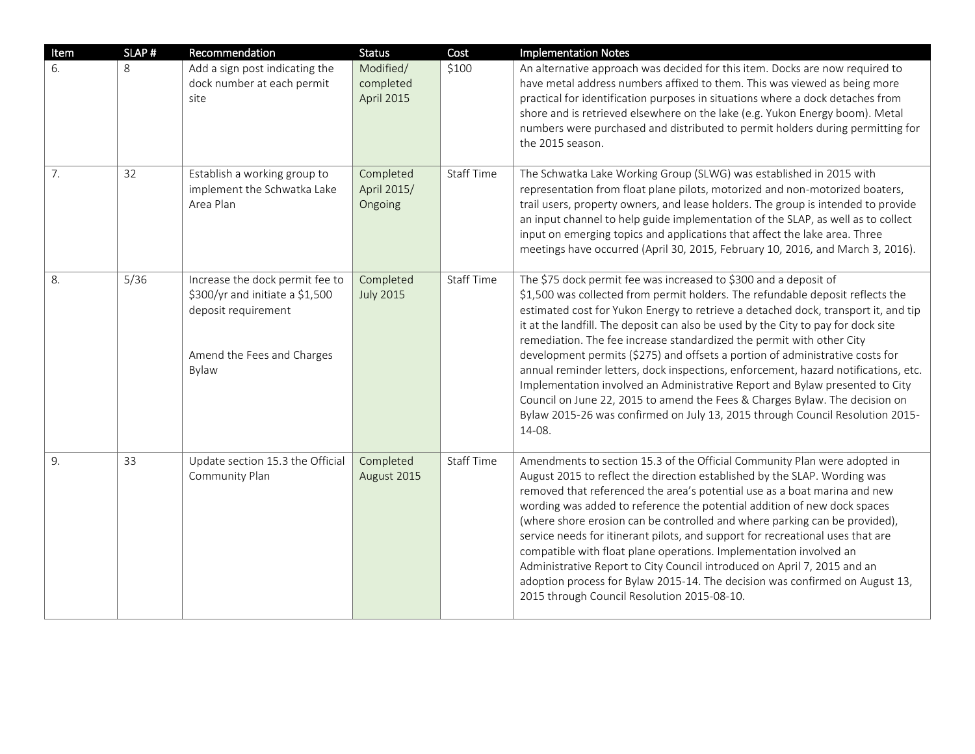| Item | SLAP# | Recommendation                                                                                                                   | <b>Status</b>                        | Cost              | <b>Implementation Notes</b>                                                                                                                                                                                                                                                                                                                                                                                                                                                                                                                                                                                                                                                                                                                                                                                                             |
|------|-------|----------------------------------------------------------------------------------------------------------------------------------|--------------------------------------|-------------------|-----------------------------------------------------------------------------------------------------------------------------------------------------------------------------------------------------------------------------------------------------------------------------------------------------------------------------------------------------------------------------------------------------------------------------------------------------------------------------------------------------------------------------------------------------------------------------------------------------------------------------------------------------------------------------------------------------------------------------------------------------------------------------------------------------------------------------------------|
| 6.   | 8     | Add a sign post indicating the<br>dock number at each permit<br>site                                                             | Modified/<br>completed<br>April 2015 | \$100             | An alternative approach was decided for this item. Docks are now required to<br>have metal address numbers affixed to them. This was viewed as being more<br>practical for identification purposes in situations where a dock detaches from<br>shore and is retrieved elsewhere on the lake (e.g. Yukon Energy boom). Metal<br>numbers were purchased and distributed to permit holders during permitting for<br>the 2015 season.                                                                                                                                                                                                                                                                                                                                                                                                       |
| 7.   | 32    | Establish a working group to<br>implement the Schwatka Lake<br>Area Plan                                                         | Completed<br>April 2015/<br>Ongoing  | <b>Staff Time</b> | The Schwatka Lake Working Group (SLWG) was established in 2015 with<br>representation from float plane pilots, motorized and non-motorized boaters,<br>trail users, property owners, and lease holders. The group is intended to provide<br>an input channel to help guide implementation of the SLAP, as well as to collect<br>input on emerging topics and applications that affect the lake area. Three<br>meetings have occurred (April 30, 2015, February 10, 2016, and March 3, 2016).                                                                                                                                                                                                                                                                                                                                            |
| 8.   | 5/36  | Increase the dock permit fee to<br>\$300/yr and initiate a \$1,500<br>deposit requirement<br>Amend the Fees and Charges<br>Bylaw | Completed<br><b>July 2015</b>        | <b>Staff Time</b> | The \$75 dock permit fee was increased to \$300 and a deposit of<br>\$1,500 was collected from permit holders. The refundable deposit reflects the<br>estimated cost for Yukon Energy to retrieve a detached dock, transport it, and tip<br>it at the landfill. The deposit can also be used by the City to pay for dock site<br>remediation. The fee increase standardized the permit with other City<br>development permits (\$275) and offsets a portion of administrative costs for<br>annual reminder letters, dock inspections, enforcement, hazard notifications, etc.<br>Implementation involved an Administrative Report and Bylaw presented to City<br>Council on June 22, 2015 to amend the Fees & Charges Bylaw. The decision on<br>Bylaw 2015-26 was confirmed on July 13, 2015 through Council Resolution 2015-<br>14-08. |
| 9.   | 33    | Update section 15.3 the Official<br>Community Plan                                                                               | Completed<br>August 2015             | <b>Staff Time</b> | Amendments to section 15.3 of the Official Community Plan were adopted in<br>August 2015 to reflect the direction established by the SLAP. Wording was<br>removed that referenced the area's potential use as a boat marina and new<br>wording was added to reference the potential addition of new dock spaces<br>(where shore erosion can be controlled and where parking can be provided),<br>service needs for itinerant pilots, and support for recreational uses that are<br>compatible with float plane operations. Implementation involved an<br>Administrative Report to City Council introduced on April 7, 2015 and an<br>adoption process for Bylaw 2015-14. The decision was confirmed on August 13,<br>2015 through Council Resolution 2015-08-10.                                                                        |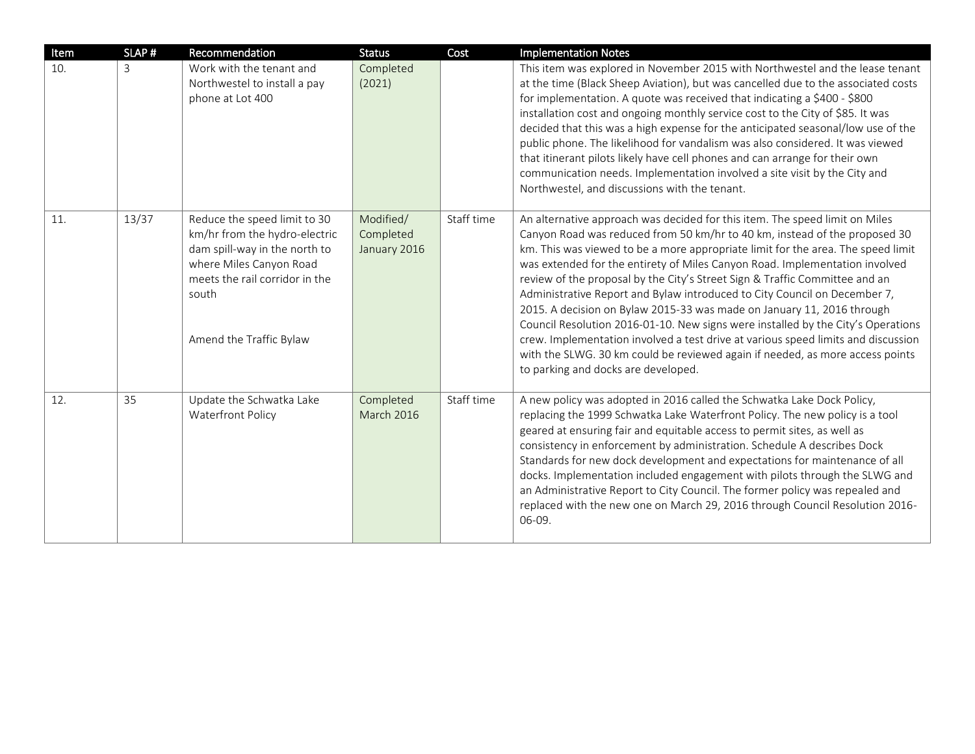| Item | SLAP# | Recommendation                                                                                                                                                                                  | <b>Status</b>                          | Cost       | <b>Implementation Notes</b>                                                                                                                                                                                                                                                                                                                                                                                                                                                                                                                                                                                                                                                                                                                                                                                                                                         |
|------|-------|-------------------------------------------------------------------------------------------------------------------------------------------------------------------------------------------------|----------------------------------------|------------|---------------------------------------------------------------------------------------------------------------------------------------------------------------------------------------------------------------------------------------------------------------------------------------------------------------------------------------------------------------------------------------------------------------------------------------------------------------------------------------------------------------------------------------------------------------------------------------------------------------------------------------------------------------------------------------------------------------------------------------------------------------------------------------------------------------------------------------------------------------------|
| 10.  | 3     | Work with the tenant and<br>Northwestel to install a pay<br>phone at Lot 400                                                                                                                    | Completed<br>(2021)                    |            | This item was explored in November 2015 with Northwestel and the lease tenant<br>at the time (Black Sheep Aviation), but was cancelled due to the associated costs<br>for implementation. A quote was received that indicating a \$400 - \$800<br>installation cost and ongoing monthly service cost to the City of \$85. It was<br>decided that this was a high expense for the anticipated seasonal/low use of the<br>public phone. The likelihood for vandalism was also considered. It was viewed<br>that itinerant pilots likely have cell phones and can arrange for their own<br>communication needs. Implementation involved a site visit by the City and<br>Northwestel, and discussions with the tenant.                                                                                                                                                  |
| 11.  | 13/37 | Reduce the speed limit to 30<br>km/hr from the hydro-electric<br>dam spill-way in the north to<br>where Miles Canyon Road<br>meets the rail corridor in the<br>south<br>Amend the Traffic Bylaw | Modified/<br>Completed<br>January 2016 | Staff time | An alternative approach was decided for this item. The speed limit on Miles<br>Canyon Road was reduced from 50 km/hr to 40 km, instead of the proposed 30<br>km. This was viewed to be a more appropriate limit for the area. The speed limit<br>was extended for the entirety of Miles Canyon Road. Implementation involved<br>review of the proposal by the City's Street Sign & Traffic Committee and an<br>Administrative Report and Bylaw introduced to City Council on December 7,<br>2015. A decision on Bylaw 2015-33 was made on January 11, 2016 through<br>Council Resolution 2016-01-10. New signs were installed by the City's Operations<br>crew. Implementation involved a test drive at various speed limits and discussion<br>with the SLWG. 30 km could be reviewed again if needed, as more access points<br>to parking and docks are developed. |
| 12.  | 35    | Update the Schwatka Lake<br><b>Waterfront Policy</b>                                                                                                                                            | Completed<br><b>March 2016</b>         | Staff time | A new policy was adopted in 2016 called the Schwatka Lake Dock Policy,<br>replacing the 1999 Schwatka Lake Waterfront Policy. The new policy is a tool<br>geared at ensuring fair and equitable access to permit sites, as well as<br>consistency in enforcement by administration. Schedule A describes Dock<br>Standards for new dock development and expectations for maintenance of all<br>docks. Implementation included engagement with pilots through the SLWG and<br>an Administrative Report to City Council. The former policy was repealed and<br>replaced with the new one on March 29, 2016 through Council Resolution 2016-<br>06-09.                                                                                                                                                                                                                 |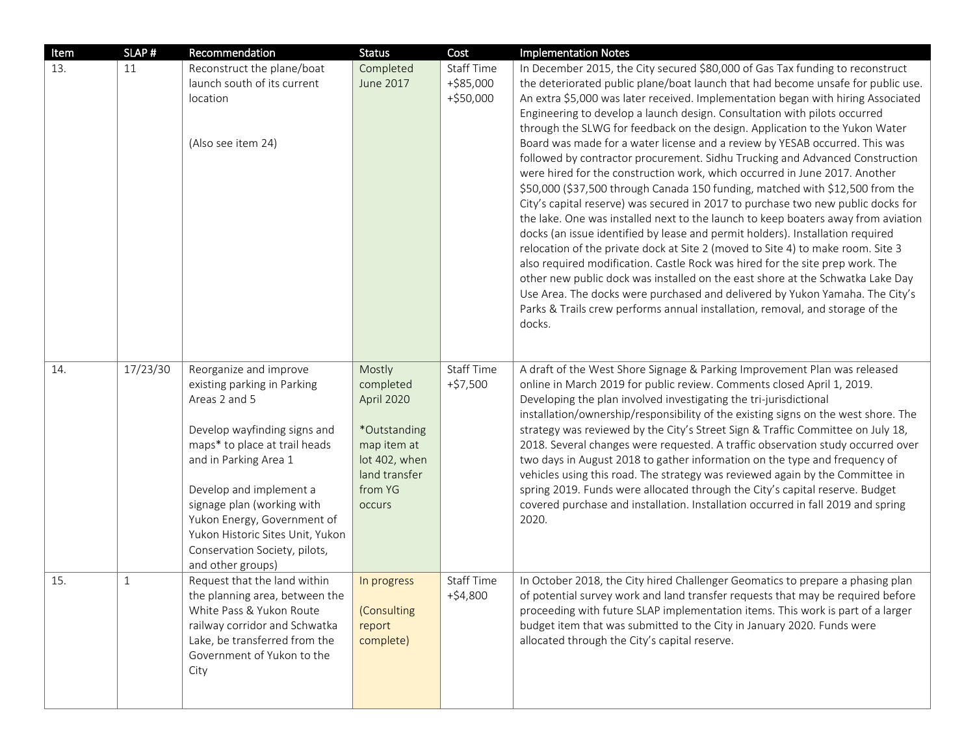| Item | SLAP#        | Recommendation                                                                                                                                                                                                                                                                                                                                     | <b>Status</b>                                                                                                                  | Cost                                          | <b>Implementation Notes</b>                                                                                                                                                                                                                                                                                                                                                                                                                                                                                                                                                                                                                                                                                                                                                                                                                                                                                                                                                                                                                                                                                                                                                                                                                                                                                                                                                                                                                 |
|------|--------------|----------------------------------------------------------------------------------------------------------------------------------------------------------------------------------------------------------------------------------------------------------------------------------------------------------------------------------------------------|--------------------------------------------------------------------------------------------------------------------------------|-----------------------------------------------|---------------------------------------------------------------------------------------------------------------------------------------------------------------------------------------------------------------------------------------------------------------------------------------------------------------------------------------------------------------------------------------------------------------------------------------------------------------------------------------------------------------------------------------------------------------------------------------------------------------------------------------------------------------------------------------------------------------------------------------------------------------------------------------------------------------------------------------------------------------------------------------------------------------------------------------------------------------------------------------------------------------------------------------------------------------------------------------------------------------------------------------------------------------------------------------------------------------------------------------------------------------------------------------------------------------------------------------------------------------------------------------------------------------------------------------------|
| 13.  | 11           | Reconstruct the plane/boat<br>launch south of its current<br>location<br>(Also see item 24)                                                                                                                                                                                                                                                        | Completed<br>June 2017                                                                                                         | <b>Staff Time</b><br>+\$85,000<br>$+ $50,000$ | In December 2015, the City secured \$80,000 of Gas Tax funding to reconstruct<br>the deteriorated public plane/boat launch that had become unsafe for public use.<br>An extra \$5,000 was later received. Implementation began with hiring Associated<br>Engineering to develop a launch design. Consultation with pilots occurred<br>through the SLWG for feedback on the design. Application to the Yukon Water<br>Board was made for a water license and a review by YESAB occurred. This was<br>followed by contractor procurement. Sidhu Trucking and Advanced Construction<br>were hired for the construction work, which occurred in June 2017. Another<br>\$50,000 (\$37,500 through Canada 150 funding, matched with \$12,500 from the<br>City's capital reserve) was secured in 2017 to purchase two new public docks for<br>the lake. One was installed next to the launch to keep boaters away from aviation<br>docks (an issue identified by lease and permit holders). Installation required<br>relocation of the private dock at Site 2 (moved to Site 4) to make room. Site 3<br>also required modification. Castle Rock was hired for the site prep work. The<br>other new public dock was installed on the east shore at the Schwatka Lake Day<br>Use Area. The docks were purchased and delivered by Yukon Yamaha. The City's<br>Parks & Trails crew performs annual installation, removal, and storage of the<br>docks. |
| 14.  | 17/23/30     | Reorganize and improve<br>existing parking in Parking<br>Areas 2 and 5<br>Develop wayfinding signs and<br>maps* to place at trail heads<br>and in Parking Area 1<br>Develop and implement a<br>signage plan (working with<br>Yukon Energy, Government of<br>Yukon Historic Sites Unit, Yukon<br>Conservation Society, pilots,<br>and other groups) | Mostly<br>completed<br>April 2020<br>*Outstanding<br>map item at<br>lot 402, when<br>land transfer<br>from YG<br><b>occurs</b> | Staff Time<br>$+ $7,500$                      | A draft of the West Shore Signage & Parking Improvement Plan was released<br>online in March 2019 for public review. Comments closed April 1, 2019.<br>Developing the plan involved investigating the tri-jurisdictional<br>installation/ownership/responsibility of the existing signs on the west shore. The<br>strategy was reviewed by the City's Street Sign & Traffic Committee on July 18,<br>2018. Several changes were requested. A traffic observation study occurred over<br>two days in August 2018 to gather information on the type and frequency of<br>vehicles using this road. The strategy was reviewed again by the Committee in<br>spring 2019. Funds were allocated through the City's capital reserve. Budget<br>covered purchase and installation. Installation occurred in fall 2019 and spring<br>2020.                                                                                                                                                                                                                                                                                                                                                                                                                                                                                                                                                                                                            |
| 15.  | $\mathbf{1}$ | Request that the land within<br>the planning area, between the<br>White Pass & Yukon Route<br>railway corridor and Schwatka<br>Lake, be transferred from the<br>Government of Yukon to the<br>City                                                                                                                                                 | In progress<br>(Consulting<br>report<br>complete)                                                                              | <b>Staff Time</b><br>+\$4,800                 | In October 2018, the City hired Challenger Geomatics to prepare a phasing plan<br>of potential survey work and land transfer requests that may be required before<br>proceeding with future SLAP implementation items. This work is part of a larger<br>budget item that was submitted to the City in January 2020. Funds were<br>allocated through the City's capital reserve.                                                                                                                                                                                                                                                                                                                                                                                                                                                                                                                                                                                                                                                                                                                                                                                                                                                                                                                                                                                                                                                             |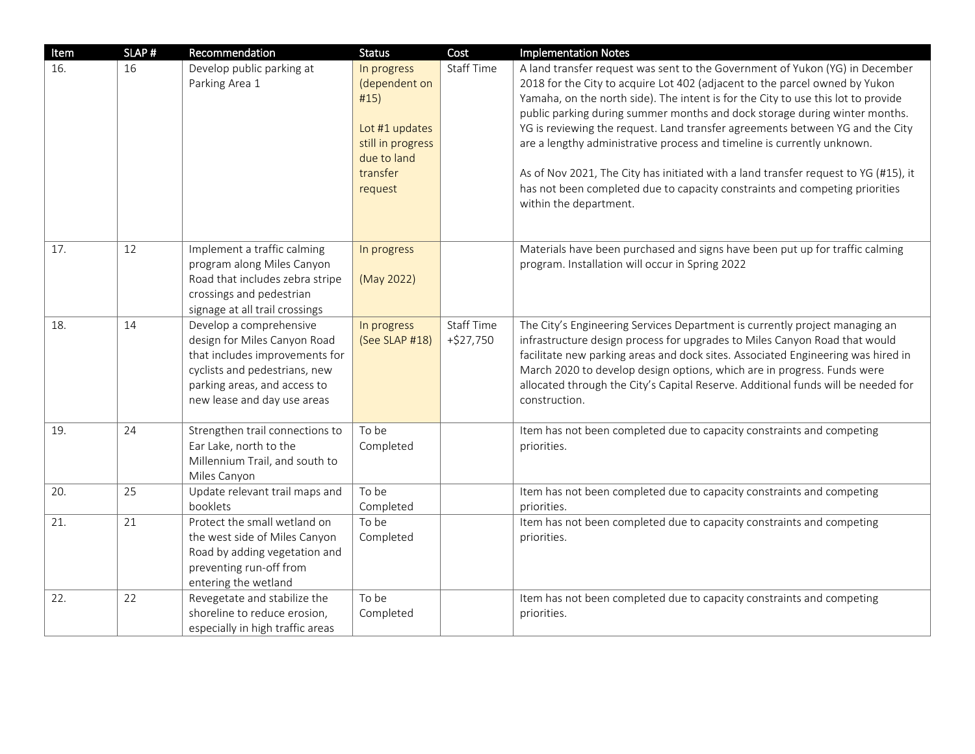| Item | SLAP# | Recommendation                                                                                                                                                                            | <b>Status</b>                                                                                                     | Cost                             | <b>Implementation Notes</b>                                                                                                                                                                                                                                                                                                                                                                                                                                                                                                                                                                                                                                                                |
|------|-------|-------------------------------------------------------------------------------------------------------------------------------------------------------------------------------------------|-------------------------------------------------------------------------------------------------------------------|----------------------------------|--------------------------------------------------------------------------------------------------------------------------------------------------------------------------------------------------------------------------------------------------------------------------------------------------------------------------------------------------------------------------------------------------------------------------------------------------------------------------------------------------------------------------------------------------------------------------------------------------------------------------------------------------------------------------------------------|
| 16.  | 16    | Develop public parking at<br>Parking Area 1                                                                                                                                               | In progress<br>(dependent on<br>#15)<br>Lot #1 updates<br>still in progress<br>due to land<br>transfer<br>request | <b>Staff Time</b>                | A land transfer request was sent to the Government of Yukon (YG) in December<br>2018 for the City to acquire Lot 402 (adjacent to the parcel owned by Yukon<br>Yamaha, on the north side). The intent is for the City to use this lot to provide<br>public parking during summer months and dock storage during winter months.<br>YG is reviewing the request. Land transfer agreements between YG and the City<br>are a lengthy administrative process and timeline is currently unknown.<br>As of Nov 2021, The City has initiated with a land transfer request to YG (#15), it<br>has not been completed due to capacity constraints and competing priorities<br>within the department. |
| 17.  | 12    | Implement a traffic calming<br>program along Miles Canyon<br>Road that includes zebra stripe<br>crossings and pedestrian<br>signage at all trail crossings                                | In progress<br>(May 2022)                                                                                         |                                  | Materials have been purchased and signs have been put up for traffic calming<br>program. Installation will occur in Spring 2022                                                                                                                                                                                                                                                                                                                                                                                                                                                                                                                                                            |
| 18.  | 14    | Develop a comprehensive<br>design for Miles Canyon Road<br>that includes improvements for<br>cyclists and pedestrians, new<br>parking areas, and access to<br>new lease and day use areas | In progress<br>(See SLAP #18)                                                                                     | <b>Staff Time</b><br>$+ $27,750$ | The City's Engineering Services Department is currently project managing an<br>infrastructure design process for upgrades to Miles Canyon Road that would<br>facilitate new parking areas and dock sites. Associated Engineering was hired in<br>March 2020 to develop design options, which are in progress. Funds were<br>allocated through the City's Capital Reserve. Additional funds will be needed for<br>construction.                                                                                                                                                                                                                                                             |
| 19.  | 24    | Strengthen trail connections to<br>Ear Lake, north to the<br>Millennium Trail, and south to<br>Miles Canyon                                                                               | To be<br>Completed                                                                                                |                                  | Item has not been completed due to capacity constraints and competing<br>priorities.                                                                                                                                                                                                                                                                                                                                                                                                                                                                                                                                                                                                       |
| 20.  | 25    | Update relevant trail maps and<br>booklets                                                                                                                                                | To be<br>Completed                                                                                                |                                  | Item has not been completed due to capacity constraints and competing<br>priorities.                                                                                                                                                                                                                                                                                                                                                                                                                                                                                                                                                                                                       |
| 21.  | 21    | Protect the small wetland on<br>the west side of Miles Canyon<br>Road by adding vegetation and<br>preventing run-off from<br>entering the wetland                                         | To be<br>Completed                                                                                                |                                  | Item has not been completed due to capacity constraints and competing<br>priorities.                                                                                                                                                                                                                                                                                                                                                                                                                                                                                                                                                                                                       |
| 22.  | 22    | Revegetate and stabilize the<br>shoreline to reduce erosion,<br>especially in high traffic areas                                                                                          | To be<br>Completed                                                                                                |                                  | Item has not been completed due to capacity constraints and competing<br>priorities.                                                                                                                                                                                                                                                                                                                                                                                                                                                                                                                                                                                                       |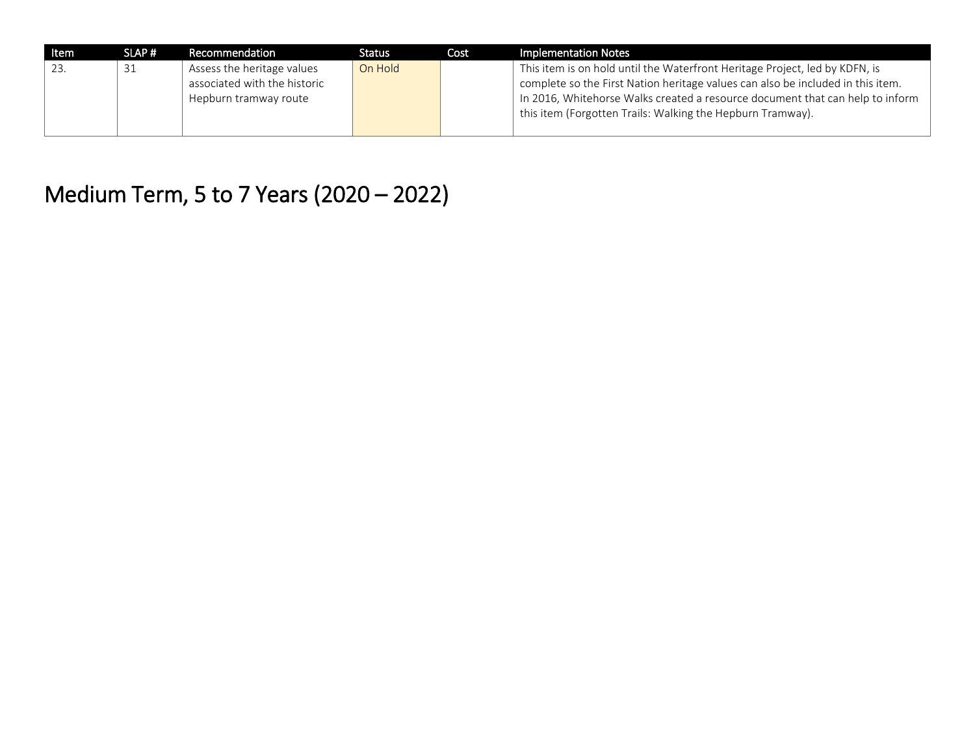| Item | SLAP# | Recommendation               | Status  | Cost | Implementation Notes                                                            |
|------|-------|------------------------------|---------|------|---------------------------------------------------------------------------------|
| 23.  | 31    | Assess the heritage values   | On Hold |      | This item is on hold until the Waterfront Heritage Project, led by KDFN, is     |
|      |       | associated with the historic |         |      | complete so the First Nation heritage values can also be included in this item. |
|      |       | Hepburn tramway route        |         |      | In 2016, Whitehorse Walks created a resource document that can help to inform   |
|      |       |                              |         |      | this item (Forgotten Trails: Walking the Hepburn Tramway).                      |
|      |       |                              |         |      |                                                                                 |

## Medium Term, 5 to 7 Years (2020 – 2022)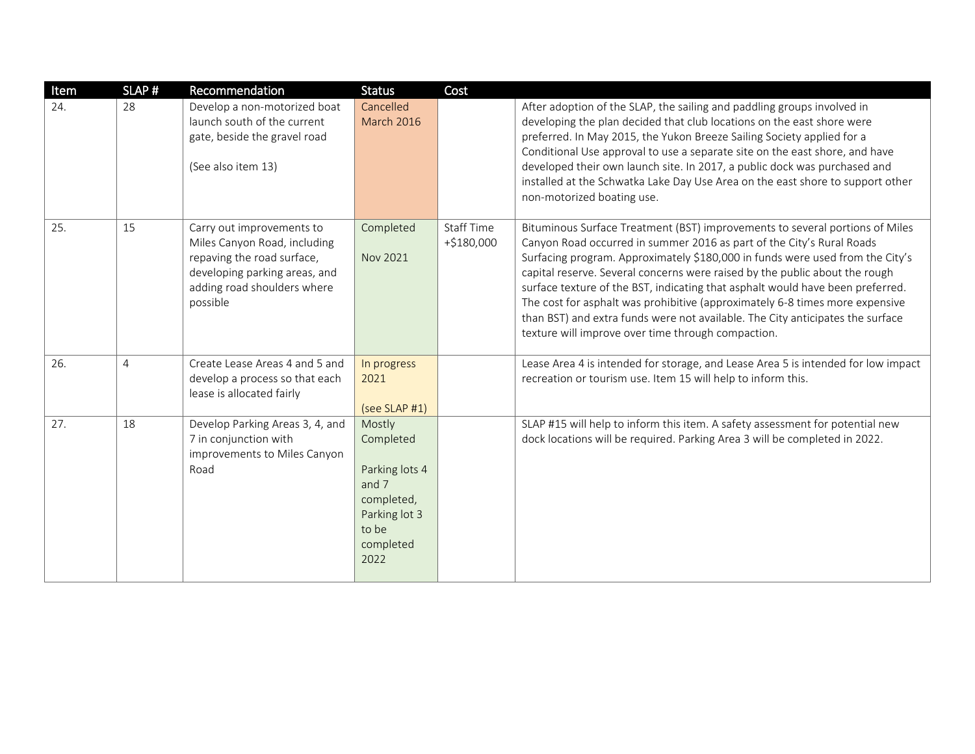| Item | SLAP#          | Recommendation                                                                                                                                                      | <b>Status</b>                                                                                               | Cost                       |                                                                                                                                                                                                                                                                                                                                                                                                                                                                                                                                                                                                                                 |
|------|----------------|---------------------------------------------------------------------------------------------------------------------------------------------------------------------|-------------------------------------------------------------------------------------------------------------|----------------------------|---------------------------------------------------------------------------------------------------------------------------------------------------------------------------------------------------------------------------------------------------------------------------------------------------------------------------------------------------------------------------------------------------------------------------------------------------------------------------------------------------------------------------------------------------------------------------------------------------------------------------------|
| 24.  | 28             | Develop a non-motorized boat<br>launch south of the current<br>gate, beside the gravel road<br>(See also item 13)                                                   | Cancelled<br><b>March 2016</b>                                                                              |                            | After adoption of the SLAP, the sailing and paddling groups involved in<br>developing the plan decided that club locations on the east shore were<br>preferred. In May 2015, the Yukon Breeze Sailing Society applied for a<br>Conditional Use approval to use a separate site on the east shore, and have<br>developed their own launch site. In 2017, a public dock was purchased and<br>installed at the Schwatka Lake Day Use Area on the east shore to support other<br>non-motorized boating use.                                                                                                                         |
| 25.  | 15             | Carry out improvements to<br>Miles Canyon Road, including<br>repaving the road surface,<br>developing parking areas, and<br>adding road shoulders where<br>possible | Completed<br>Nov 2021                                                                                       | Staff Time<br>$+ $180,000$ | Bituminous Surface Treatment (BST) improvements to several portions of Miles<br>Canyon Road occurred in summer 2016 as part of the City's Rural Roads<br>Surfacing program. Approximately \$180,000 in funds were used from the City's<br>capital reserve. Several concerns were raised by the public about the rough<br>surface texture of the BST, indicating that asphalt would have been preferred.<br>The cost for asphalt was prohibitive (approximately 6-8 times more expensive<br>than BST) and extra funds were not available. The City anticipates the surface<br>texture will improve over time through compaction. |
| 26.  | $\overline{4}$ | Create Lease Areas 4 and 5 and<br>develop a process so that each<br>lease is allocated fairly                                                                       | In progress<br>2021<br>(see SLAP #1)                                                                        |                            | Lease Area 4 is intended for storage, and Lease Area 5 is intended for low impact<br>recreation or tourism use. Item 15 will help to inform this.                                                                                                                                                                                                                                                                                                                                                                                                                                                                               |
| 27.  | 18             | Develop Parking Areas 3, 4, and<br>7 in conjunction with<br>improvements to Miles Canyon<br>Road                                                                    | Mostly<br>Completed<br>Parking lots 4<br>and 7<br>completed,<br>Parking lot 3<br>to be<br>completed<br>2022 |                            | SLAP #15 will help to inform this item. A safety assessment for potential new<br>dock locations will be required. Parking Area 3 will be completed in 2022.                                                                                                                                                                                                                                                                                                                                                                                                                                                                     |